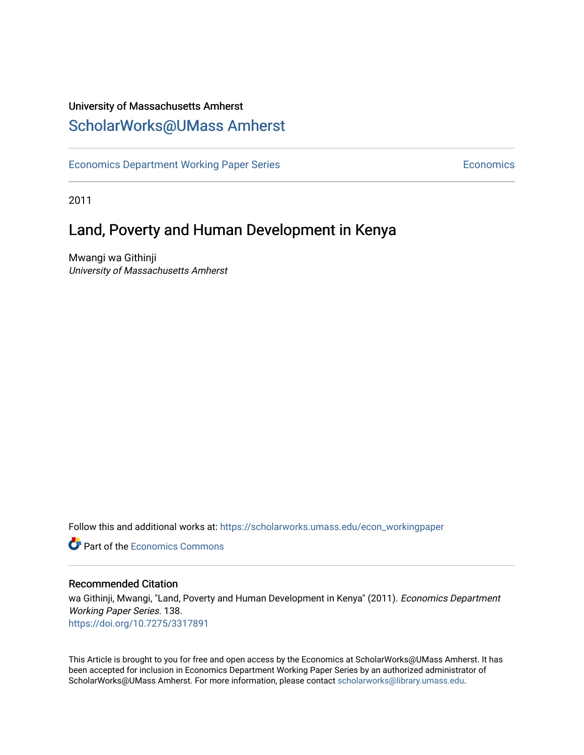# University of Massachusetts Amherst [ScholarWorks@UMass Amherst](https://scholarworks.umass.edu/)

[Economics Department Working Paper Series](https://scholarworks.umass.edu/econ_workingpaper) **Economics** Economics

2011

# Land, Poverty and Human Development in Kenya

Mwangi wa Githinji University of Massachusetts Amherst

Follow this and additional works at: [https://scholarworks.umass.edu/econ\\_workingpaper](https://scholarworks.umass.edu/econ_workingpaper?utm_source=scholarworks.umass.edu%2Fecon_workingpaper%2F138&utm_medium=PDF&utm_campaign=PDFCoverPages) 

**C** Part of the [Economics Commons](http://network.bepress.com/hgg/discipline/340?utm_source=scholarworks.umass.edu%2Fecon_workingpaper%2F138&utm_medium=PDF&utm_campaign=PDFCoverPages)

#### Recommended Citation

wa Githinji, Mwangi, "Land, Poverty and Human Development in Kenya" (2011). Economics Department Working Paper Series. 138. <https://doi.org/10.7275/3317891>

This Article is brought to you for free and open access by the Economics at ScholarWorks@UMass Amherst. It has been accepted for inclusion in Economics Department Working Paper Series by an authorized administrator of ScholarWorks@UMass Amherst. For more information, please contact [scholarworks@library.umass.edu.](mailto:scholarworks@library.umass.edu)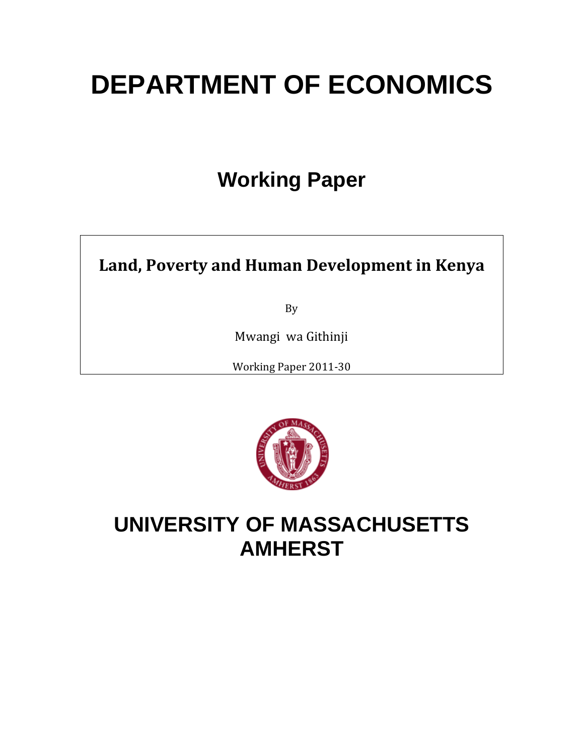# **DEPARTMENT OF ECONOMICS**

# **Working Paper**

# **Land, Poverty and Human Development in Kenya**

By

Mwangi wa Githinji

Working Paper 2011‐30



# **UNIVERSITY OF MASSACHUSETTS AMHERST**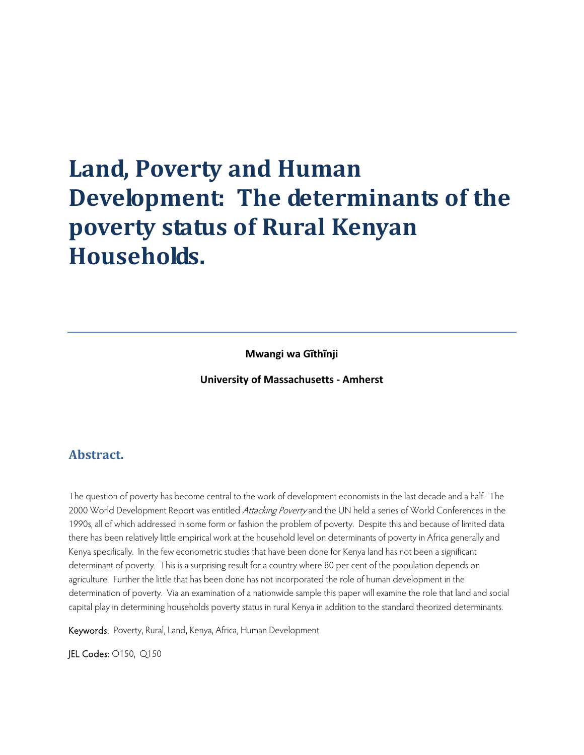# **Land, Poverty and Human Development: The determinants of the poverty status of Rural Kenyan Households.**

**Mwangi wa Gĩthĩnji**

#### **University of Massachusetts ‐ Amherst**

### **Abstract.**

The question of poverty has become central to the work of development economists in the last decade and a half. The 2000 World Development Report was entitled Attacking Poverty and the UN held a series of World Conferences in the 1990s, all of which addressed in some form or fashion the problem of poverty. Despite this and because of limited data there has been relatively little empirical work at the household level on determinants of poverty in Africa generally and Kenya specifically. In the few econometric studies that have been done for Kenya land has not been a significant determinant of poverty. This is a surprising result for a country where 80 per cent of the population depends on agriculture. Further the little that has been done has not incorporated the role of human development in the determination of poverty. Via an examination of a nationwide sample this paper will examine the role that land and social capital play in determining households poverty status in rural Kenya in addition to the standard theorized determinants.

Keywords: Poverty, Rural, Land, Kenya, Africa, Human Development

JEL Codes: O150, Q150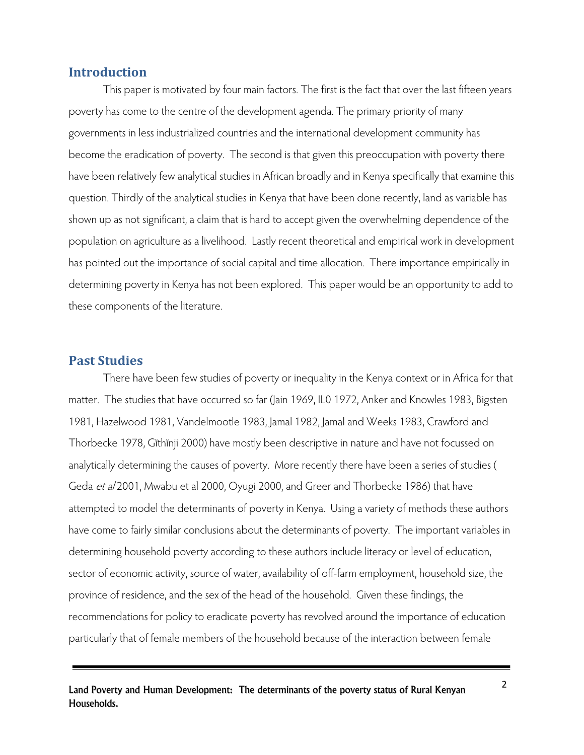#### **Introduction**

This paper is motivated by four main factors. The first is the fact that over the last fifteen years poverty has come to the centre of the development agenda. The primary priority of many governments in less industrialized countries and the international development community has become the eradication of poverty. The second is that given this preoccupation with poverty there have been relatively few analytical studies in African broadly and in Kenya specifically that examine this question. Thirdly of the analytical studies in Kenya that have been done recently, land as variable has shown up as not significant, a claim that is hard to accept given the overwhelming dependence of the population on agriculture as a livelihood. Lastly recent theoretical and empirical work in development has pointed out the importance of social capital and time allocation. There importance empirically in determining poverty in Kenya has not been explored. This paper would be an opportunity to add to these components of the literature.

#### **Past Studies**

 There have been few studies of poverty or inequality in the Kenya context or in Africa for that matter. The studies that have occurred so far (Jain 1969, IL0 1972, Anker and Knowles 1983, Bigsten 1981, Hazelwood 1981, Vandelmootle 1983, Jamal 1982, Jamal and Weeks 1983, Crawford and Thorbecke 1978, Gĩthĩnji 2000) have mostly been descriptive in nature and have not focussed on analytically determining the causes of poverty. More recently there have been a series of studies ( Geda et a/2001, Mwabu et al 2000, Oyugi 2000, and Greer and Thorbecke 1986) that have attempted to model the determinants of poverty in Kenya. Using a variety of methods these authors have come to fairly similar conclusions about the determinants of poverty. The important variables in determining household poverty according to these authors include literacy or level of education, sector of economic activity, source of water, availability of off-farm employment, household size, the province of residence, and the sex of the head of the household. Given these findings, the recommendations for policy to eradicate poverty has revolved around the importance of education particularly that of female members of the household because of the interaction between female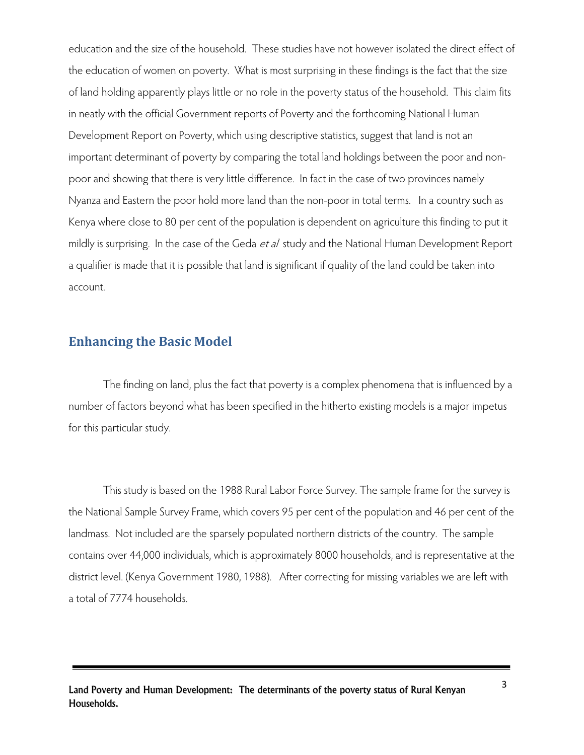education and the size of the household. These studies have not however isolated the direct effect of the education of women on poverty. What is most surprising in these findings is the fact that the size of land holding apparently plays little or no role in the poverty status of the household. This claim fits in neatly with the official Government reports of Poverty and the forthcoming National Human Development Report on Poverty, which using descriptive statistics, suggest that land is not an important determinant of poverty by comparing the total land holdings between the poor and nonpoor and showing that there is very little difference. In fact in the case of two provinces namely Nyanza and Eastern the poor hold more land than the non-poor in total terms. In a country such as Kenya where close to 80 per cent of the population is dependent on agriculture this finding to put it mildly is surprising. In the case of the Geda et al study and the National Human Development Report a qualifier is made that it is possible that land is significant if quality of the land could be taken into account.

#### **Enhancing the Basic Model**

The finding on land, plus the fact that poverty is a complex phenomena that is influenced by a number of factors beyond what has been specified in the hitherto existing models is a major impetus for this particular study.

This study is based on the 1988 Rural Labor Force Survey. The sample frame for the survey is the National Sample Survey Frame, which covers 95 per cent of the population and 46 per cent of the landmass. Not included are the sparsely populated northern districts of the country. The sample contains over 44,000 individuals, which is approximately 8000 households, and is representative at the district level. (Kenya Government 1980, 1988). After correcting for missing variables we are left with a total of 7774 households.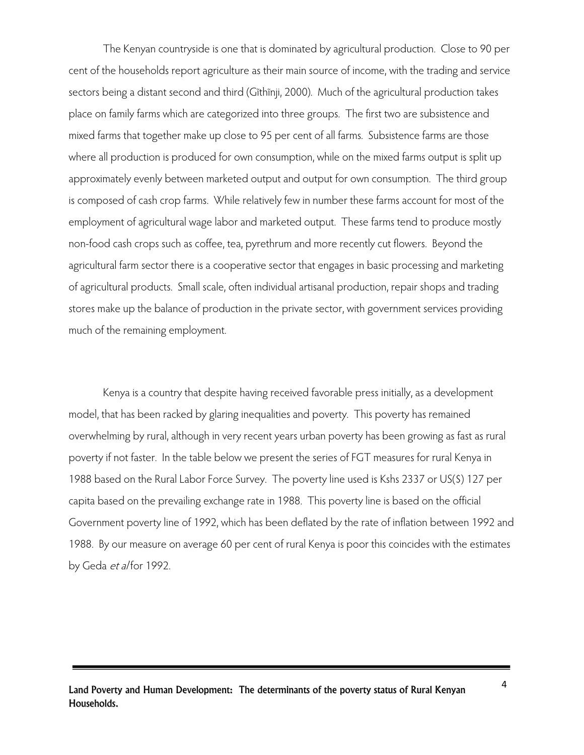The Kenyan countryside is one that is dominated by agricultural production. Close to 90 per cent of the households report agriculture as their main source of income, with the trading and service sectors being a distant second and third (Gĩthĩnji, 2000). Much of the agricultural production takes place on family farms which are categorized into three groups. The first two are subsistence and mixed farms that together make up close to 95 per cent of all farms. Subsistence farms are those where all production is produced for own consumption, while on the mixed farms output is split up approximately evenly between marketed output and output for own consumption. The third group is composed of cash crop farms. While relatively few in number these farms account for most of the employment of agricultural wage labor and marketed output. These farms tend to produce mostly non-food cash crops such as coffee, tea, pyrethrum and more recently cut flowers. Beyond the agricultural farm sector there is a cooperative sector that engages in basic processing and marketing of agricultural products. Small scale, often individual artisanal production, repair shops and trading stores make up the balance of production in the private sector, with government services providing much of the remaining employment.

Kenya is a country that despite having received favorable press initially, as a development model, that has been racked by glaring inequalities and poverty. This poverty has remained overwhelming by rural, although in very recent years urban poverty has been growing as fast as rural poverty if not faster. In the table below we present the series of FGT measures for rural Kenya in 1988 based on the Rural Labor Force Survey. The poverty line used is Kshs 2337 or US(\$) 127 per capita based on the prevailing exchange rate in 1988. This poverty line is based on the official Government poverty line of 1992, which has been deflated by the rate of inflation between 1992 and 1988. By our measure on average 60 per cent of rural Kenya is poor this coincides with the estimates by Geda et alfor 1992.

Land Poverty and Human Development: The determinants of the poverty status of Rural Kenyan Households.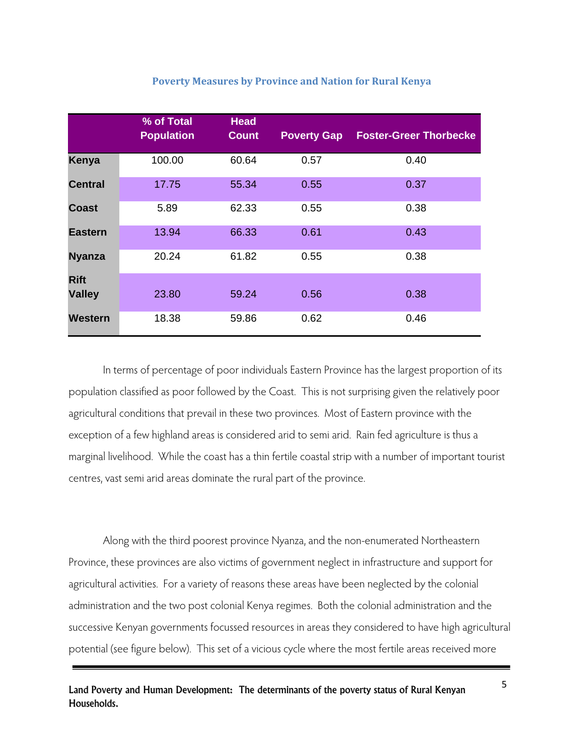|                              | % of Total<br><b>Population</b> | <b>Head</b><br><b>Count</b> | <b>Poverty Gap</b> | <b>Foster-Greer Thorbecke</b> |
|------------------------------|---------------------------------|-----------------------------|--------------------|-------------------------------|
| Kenya                        | 100.00                          | 60.64                       | 0.57               | 0.40                          |
| <b>Central</b>               | 17.75                           | 55.34                       | 0.55               | 0.37                          |
| <b>Coast</b>                 | 5.89                            | 62.33                       | 0.55               | 0.38                          |
| <b>Eastern</b>               | 13.94                           | 66.33                       | 0.61               | 0.43                          |
| <b>Nyanza</b>                | 20.24                           | 61.82                       | 0.55               | 0.38                          |
| <b>Rift</b><br><b>Valley</b> | 23.80                           | 59.24                       | 0.56               | 0.38                          |
| Western                      | 18.38                           | 59.86                       | 0.62               | 0.46                          |

#### **Poverty Measures by Province and Nation for Rural Kenya**

In terms of percentage of poor individuals Eastern Province has the largest proportion of its population classified as poor followed by the Coast. This is not surprising given the relatively poor agricultural conditions that prevail in these two provinces. Most of Eastern province with the exception of a few highland areas is considered arid to semi arid. Rain fed agriculture is thus a marginal livelihood. While the coast has a thin fertile coastal strip with a number of important tourist centres, vast semi arid areas dominate the rural part of the province.

Along with the third poorest province Nyanza, and the non-enumerated Northeastern Province, these provinces are also victims of government neglect in infrastructure and support for agricultural activities. For a variety of reasons these areas have been neglected by the colonial administration and the two post colonial Kenya regimes. Both the colonial administration and the successive Kenyan governments focussed resources in areas they considered to have high agricultural potential (see figure below). This set of a vicious cycle where the most fertile areas received more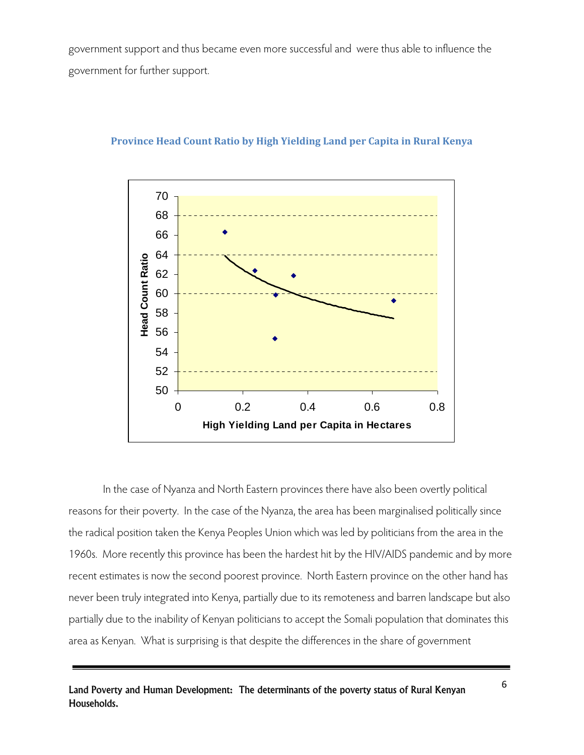government support and thus became even more successful and were thus able to influence the government for further support.



#### **Province Head Count Ratio by High Yielding Land per Capita in Rural Kenya**

In the case of Nyanza and North Eastern provinces there have also been overtly political reasons for their poverty. In the case of the Nyanza, the area has been marginalised politically since the radical position taken the Kenya Peoples Union which was led by politicians from the area in the 1960s. More recently this province has been the hardest hit by the HIV/AIDS pandemic and by more recent estimates is now the second poorest province. North Eastern province on the other hand has never been truly integrated into Kenya, partially due to its remoteness and barren landscape but also partially due to the inability of Kenyan politicians to accept the Somali population that dominates this area as Kenyan. What is surprising is that despite the differences in the share of government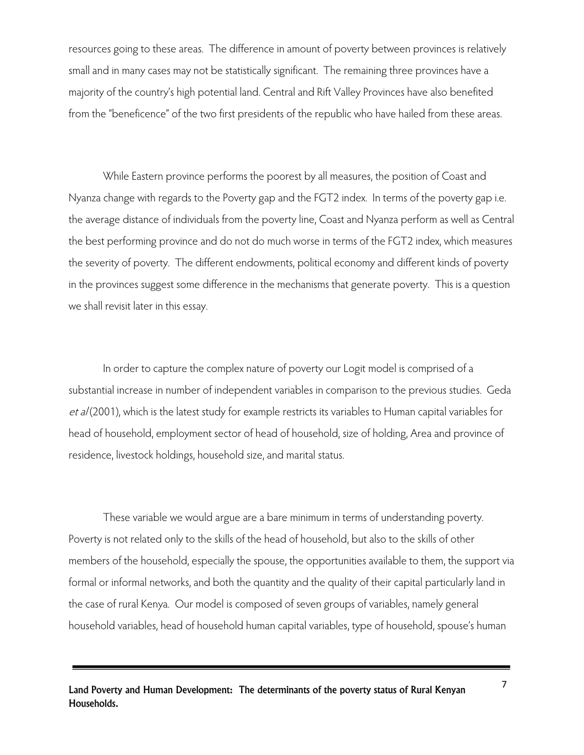resources going to these areas. The difference in amount of poverty between provinces is relatively small and in many cases may not be statistically significant. The remaining three provinces have a majority of the country's high potential land. Central and Rift Valley Provinces have also benefited from the "beneficence" of the two first presidents of the republic who have hailed from these areas.

 While Eastern province performs the poorest by all measures, the position of Coast and Nyanza change with regards to the Poverty gap and the FGT2 index. In terms of the poverty gap i.e. the average distance of individuals from the poverty line, Coast and Nyanza perform as well as Central the best performing province and do not do much worse in terms of the FGT2 index, which measures the severity of poverty. The different endowments, political economy and different kinds of poverty in the provinces suggest some difference in the mechanisms that generate poverty. This is a question we shall revisit later in this essay.

 In order to capture the complex nature of poverty our Logit model is comprised of a substantial increase in number of independent variables in comparison to the previous studies. Geda et al (2001), which is the latest study for example restricts its variables to Human capital variables for head of household, employment sector of head of household, size of holding, Area and province of residence, livestock holdings, household size, and marital status.

 These variable we would argue are a bare minimum in terms of understanding poverty. Poverty is not related only to the skills of the head of household, but also to the skills of other members of the household, especially the spouse, the opportunities available to them, the support via formal or informal networks, and both the quantity and the quality of their capital particularly land in the case of rural Kenya. Our model is composed of seven groups of variables, namely general household variables, head of household human capital variables, type of household, spouse's human

Land Poverty and Human Development: The determinants of the poverty status of Rural Kenyan Households.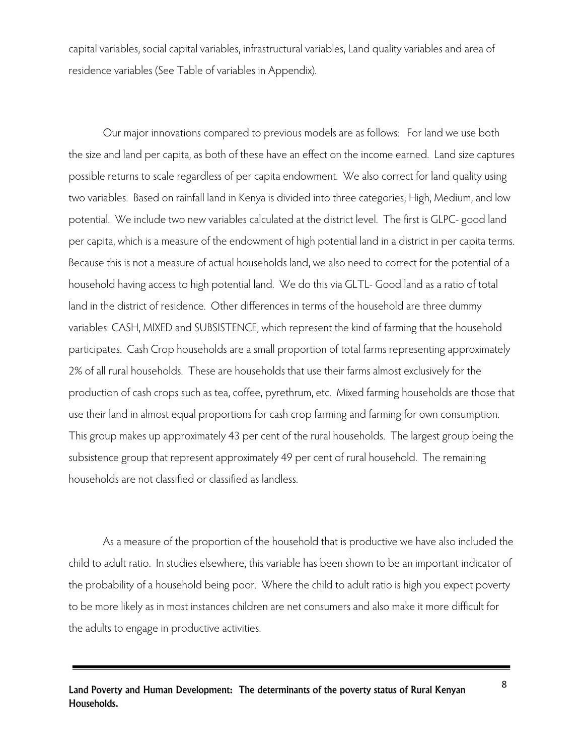capital variables, social capital variables, infrastructural variables, Land quality variables and area of residence variables (See Table of variables in Appendix).

Our major innovations compared to previous models are as follows: For land we use both the size and land per capita, as both of these have an effect on the income earned. Land size captures possible returns to scale regardless of per capita endowment. We also correct for land quality using two variables. Based on rainfall land in Kenya is divided into three categories; High, Medium, and low potential. We include two new variables calculated at the district level. The first is GLPC- good land per capita, which is a measure of the endowment of high potential land in a district in per capita terms. Because this is not a measure of actual households land, we also need to correct for the potential of a household having access to high potential land. We do this via GLTL- Good land as a ratio of total land in the district of residence. Other differences in terms of the household are three dummy variables: CASH, MIXED and SUBSISTENCE, which represent the kind of farming that the household participates. Cash Crop households are a small proportion of total farms representing approximately 2% of all rural households. These are households that use their farms almost exclusively for the production of cash crops such as tea, coffee, pyrethrum, etc. Mixed farming households are those that use their land in almost equal proportions for cash crop farming and farming for own consumption. This group makes up approximately 43 per cent of the rural households. The largest group being the subsistence group that represent approximately 49 per cent of rural household. The remaining households are not classified or classified as landless.

 As a measure of the proportion of the household that is productive we have also included the child to adult ratio. In studies elsewhere, this variable has been shown to be an important indicator of the probability of a household being poor. Where the child to adult ratio is high you expect poverty to be more likely as in most instances children are net consumers and also make it more difficult for the adults to engage in productive activities.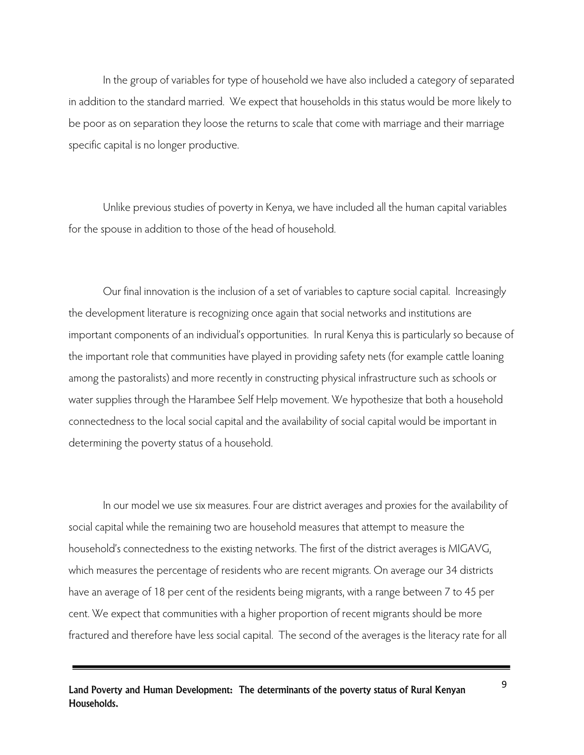In the group of variables for type of household we have also included a category of separated in addition to the standard married. We expect that households in this status would be more likely to be poor as on separation they loose the returns to scale that come with marriage and their marriage specific capital is no longer productive.

 Unlike previous studies of poverty in Kenya, we have included all the human capital variables for the spouse in addition to those of the head of household.

 Our final innovation is the inclusion of a set of variables to capture social capital. Increasingly the development literature is recognizing once again that social networks and institutions are important components of an individual's opportunities. In rural Kenya this is particularly so because of the important role that communities have played in providing safety nets (for example cattle loaning among the pastoralists) and more recently in constructing physical infrastructure such as schools or water supplies through the Harambee Self Help movement. We hypothesize that both a household connectedness to the local social capital and the availability of social capital would be important in determining the poverty status of a household.

In our model we use six measures. Four are district averages and proxies for the availability of social capital while the remaining two are household measures that attempt to measure the household's connectedness to the existing networks. The first of the district averages is MIGAVG, which measures the percentage of residents who are recent migrants. On average our 34 districts have an average of 18 per cent of the residents being migrants, with a range between 7 to 45 per cent. We expect that communities with a higher proportion of recent migrants should be more fractured and therefore have less social capital. The second of the averages is the literacy rate for all

Land Poverty and Human Development: The determinants of the poverty status of Rural Kenyan Households.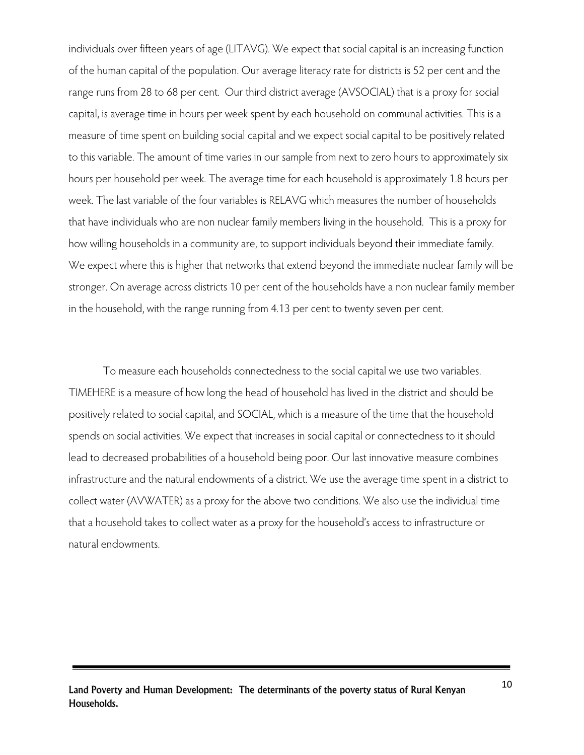individuals over fifteen years of age (LITAVG). We expect that social capital is an increasing function of the human capital of the population. Our average literacy rate for districts is 52 per cent and the range runs from 28 to 68 per cent. Our third district average (AVSOCIAL) that is a proxy for social capital, is average time in hours per week spent by each household on communal activities. This is a measure of time spent on building social capital and we expect social capital to be positively related to this variable. The amount of time varies in our sample from next to zero hours to approximately six hours per household per week. The average time for each household is approximately 1.8 hours per week. The last variable of the four variables is RELAVG which measures the number of households that have individuals who are non nuclear family members living in the household. This is a proxy for how willing households in a community are, to support individuals beyond their immediate family. We expect where this is higher that networks that extend beyond the immediate nuclear family will be stronger. On average across districts 10 per cent of the households have a non nuclear family member in the household, with the range running from 4.13 per cent to twenty seven per cent.

 To measure each households connectedness to the social capital we use two variables. TIMEHERE is a measure of how long the head of household has lived in the district and should be positively related to social capital, and SOCIAL, which is a measure of the time that the household spends on social activities. We expect that increases in social capital or connectedness to it should lead to decreased probabilities of a household being poor. Our last innovative measure combines infrastructure and the natural endowments of a district. We use the average time spent in a district to collect water (AVWATER) as a proxy for the above two conditions. We also use the individual time that a household takes to collect water as a proxy for the household's access to infrastructure or natural endowments.

Land Poverty and Human Development: The determinants of the poverty status of Rural Kenyan Households.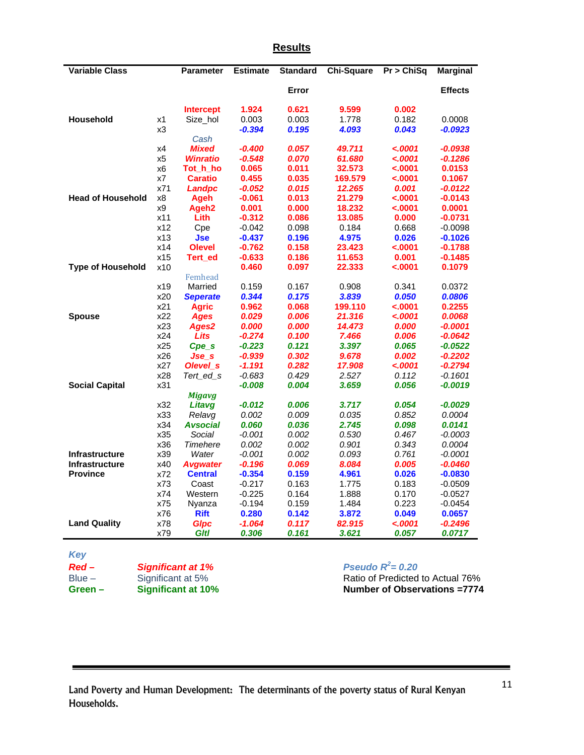| <b>Variable Class</b>    |                | <b>Parameter</b> | <b>Estimate</b> | <b>Standard</b> | <b>Chi-Square</b> | Pr > ChiSq | <b>Marginal</b> |
|--------------------------|----------------|------------------|-----------------|-----------------|-------------------|------------|-----------------|
|                          |                |                  |                 | Error           |                   |            | <b>Effects</b>  |
|                          |                | <b>Intercept</b> | 1.924           | 0.621           | 9.599             | 0.002      |                 |
| Household                | x1             | Size_hol         | 0.003           | 0.003           | 1.778             | 0.182      | 0.0008          |
|                          | x3             |                  | $-0.394$        | 0.195           | 4.093             | 0.043      | $-0.0923$       |
|                          |                | Cash             |                 |                 |                   |            |                 |
|                          | x4             | <b>Mixed</b>     | $-0.400$        | 0.057           | 49.711            | $-.0001$   | $-0.0938$       |
|                          | x <sub>5</sub> | <b>Winratio</b>  | $-0.548$        | 0.070           | 61.680            | $-.0001$   | $-0.1286$       |
|                          | x6             | Tot h ho         | 0.065           | 0.011           | 32.573            | <.0001     | 0.0153          |
|                          | x7             | <b>Caratio</b>   | 0.455           | 0.035           | 169.579           | $-.0001$   | 0.1067          |
|                          | x71            | Landpc           | $-0.052$        | 0.015           | 12.265            | 0.001      | $-0.0122$       |
| <b>Head of Household</b> | х8             | Ageh             | $-0.061$        | 0.013           | 21.279            | $-.0001$   | $-0.0143$       |
|                          | x9             | Ageh2            | 0.001           | 0.000           | 18.232            | $-.0001$   | 0.0001          |
|                          | x11            | Lith             | $-0.312$        | 0.086           | 13.085            | 0.000      | $-0.0731$       |
|                          | x12            | Cpe              | $-0.042$        | 0.098           | 0.184             | 0.668      | $-0.0098$       |
|                          | x13            | Jse              | $-0.437$        | 0.196           | 4.975             | 0.026      | $-0.1026$       |
|                          | x14            | <b>Olevel</b>    | $-0.762$        | 0.158           | 23.423            | $-.0001$   | $-0.1788$       |
|                          | x15            | Tert_ed          | $-0.633$        | 0.186           | 11.653            | 0.001      | $-0.1485$       |
| <b>Type of Household</b> | x10            |                  | 0.460           | 0.097           | 22.333            | <.0001     | 0.1079          |
|                          |                | Femhead          |                 |                 |                   |            |                 |
|                          | x19            | Married          | 0.159           | 0.167           | 0.908             | 0.341      | 0.0372          |
|                          | x20            | <b>Seperate</b>  | 0.344           | 0.175           | 3.839             | 0.050      | 0.0806          |
|                          | x21            | Agric            | 0.962           | 0.068           | 199.110           | <.0001     | 0.2255          |
| <b>Spouse</b>            | x22            | <b>Ages</b>      | 0.029           | 0.006           | 21.316            | $-.0001$   | 0.0068          |
|                          | x23            | Ages2            | 0.000           | 0.000           | 14.473            | 0.000      | $-0.0001$       |
|                          | x24            | Lits             | $-0.274$        | 0.100           | 7.466             | 0.006      | $-0.0642$       |
|                          | x25            | Cpe s            | $-0.223$        | 0.121           | 3.397             | 0.065      | $-0.0522$       |
|                          | x26            | Jse s            | $-0.939$        | 0.302           | 9.678             | 0.002      | $-0.2202$       |
|                          | x27            | Olevel s         | $-1.191$        | 0.282           | 17.908            | $-.0001$   | $-0.2794$       |
|                          | x28            | Tert ed s        | $-0.683$        | 0.429           | 2.527             | 0.112      | $-0.1601$       |
| <b>Social Capital</b>    | x31            |                  | $-0.008$        | 0.004           | 3.659             | 0.056      | $-0.0019$       |
|                          |                | <b>Migava</b>    |                 |                 |                   |            |                 |
|                          | x32            | Litavg           | $-0.012$        | 0.006           | 3.717             | 0.054      | -0.0029         |
|                          | x33            | Relavg           | 0.002           | 0.009           | 0.035             | 0.852      | 0.0004          |
|                          | x34            | <b>Avsocial</b>  | 0.060           | 0.036           | 2.745             | 0.098      | 0.0141          |
|                          | x35            | Social           | $-0.001$        | 0.002           | 0.530             | 0.467      | $-0.0003$       |
|                          | x36            | Timehere         | 0.002           | 0.002           | 0.901             | 0.343      | 0.0004          |
| <b>Infrastructure</b>    | x39            | Water            | $-0.001$        | 0.002           | 0.093             | 0.761      | $-0.0001$       |
| <b>Infrastructure</b>    | x40            | <b>Avgwater</b>  | $-0.196$        | 0.069           | 8.084             | 0.005      | $-0.0460$       |
| <b>Province</b>          | x72            | <b>Central</b>   | $-0.354$        | 0.159           | 4.961             | 0.026      | $-0.0830$       |
|                          | x73            | Coast            | $-0.217$        | 0.163           | 1.775             | 0.183      | $-0.0509$       |
|                          | x74            | Western          | $-0.225$        | 0.164           | 1.888             | 0.170      | $-0.0527$       |
|                          | x75            | Nyanza           | $-0.194$        | 0.159           | 1.484             | 0.223      | $-0.0454$       |
|                          | x76            | <b>Rift</b>      | 0.280           | 0.142           | 3.872             | 0.049      | 0.0657          |
| <b>Land Quality</b>      | x78            | Glpc             | $-1.064$        | 0.117           | 82.915            | -.0001     | $-0.2496$       |
|                          | x79            | <b>GItl</b>      | 0.306           | 0.161           | 3.621             | 0.057      | 0.0717          |
| Key                      |                |                  |                 |                 |                   |            |                 |

#### **Results**

*Key* 

**Red – Significant at 1%**<br> **Blue – Significant at 5% <br>
<b>Green – Significant at 10%** 

#### *Pseudo*  $R^2 = 0.20$

Blue – Significant at 5% Ratio of Predicted to Actual 76%<br>
Green – Significant at 10% Ratio of Diservations =7774 **Number of Observations =7774**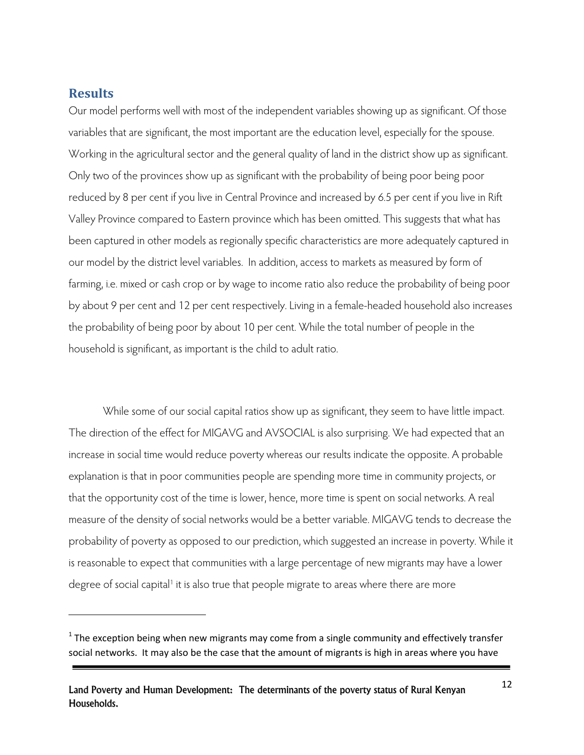### **Results**

Our model performs well with most of the independent variables showing up as significant. Of those variables that are significant, the most important are the education level, especially for the spouse. Working in the agricultural sector and the general quality of land in the district show up as significant. Only two of the provinces show up as significant with the probability of being poor being poor reduced by 8 per cent if you live in Central Province and increased by 6.5 per cent if you live in Rift Valley Province compared to Eastern province which has been omitted. This suggests that what has been captured in other models as regionally specific characteristics are more adequately captured in our model by the district level variables. In addition, access to markets as measured by form of farming, i.e. mixed or cash crop or by wage to income ratio also reduce the probability of being poor by about 9 per cent and 12 per cent respectively. Living in a female-headed household also increases the probability of being poor by about 10 per cent. While the total number of people in the household is significant, as important is the child to adult ratio.

While some of our social capital ratios show up as significant, they seem to have little impact. The direction of the effect for MIGAVG and AVSOCIAL is also surprising. We had expected that an increase in social time would reduce poverty whereas our results indicate the opposite. A probable explanation is that in poor communities people are spending more time in community projects, or that the opportunity cost of the time is lower, hence, more time is spent on social networks. A real measure of the density of social networks would be a better variable. MIGAVG tends to decrease the probability of poverty as opposed to our prediction, which suggested an increase in poverty. While it is reasonable to expect that communities with a large percentage of new migrants may have a lower degree of social capital<sup>1</sup> it is also true that people migrate to areas where there are more

 $1$  The exception being when new migrants may come from a single community and effectively transfer social networks. It may also be the case that the amount of migrants is high in areas where you have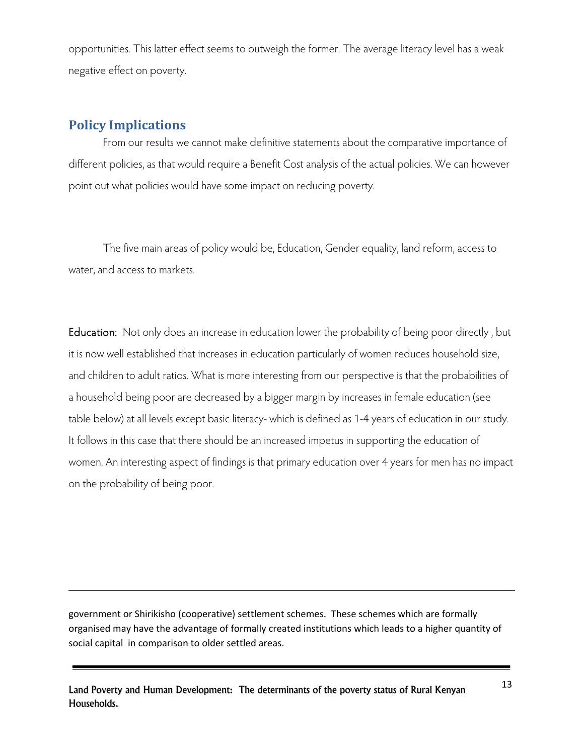opportunities. This latter effect seems to outweigh the former. The average literacy level has a weak negative effect on poverty.

## **Policy Implications**

From our results we cannot make definitive statements about the comparative importance of different policies, as that would require a Benefit Cost analysis of the actual policies. We can however point out what policies would have some impact on reducing poverty.

The five main areas of policy would be, Education, Gender equality, land reform, access to water, and access to markets.

Education: Not only does an increase in education lower the probability of being poor directly, but it is now well established that increases in education particularly of women reduces household size, and children to adult ratios. What is more interesting from our perspective is that the probabilities of a household being poor are decreased by a bigger margin by increases in female education (see table below) at all levels except basic literacy- which is defined as 1-4 years of education in our study. It follows in this case that there should be an increased impetus in supporting the education of women. An interesting aspect of findings is that primary education over 4 years for men has no impact on the probability of being poor.

government or Shirikisho (cooperative) settlement schemes. These schemes which are formally organised may have the advantage of formally created institutions which leads to a higher quantity of social capital in comparison to older settled areas.

<u> Andrewski politika (za obrazu pod predsjednika u predsjednika u predsjednika u predsjednika (za obrazu pod p</u>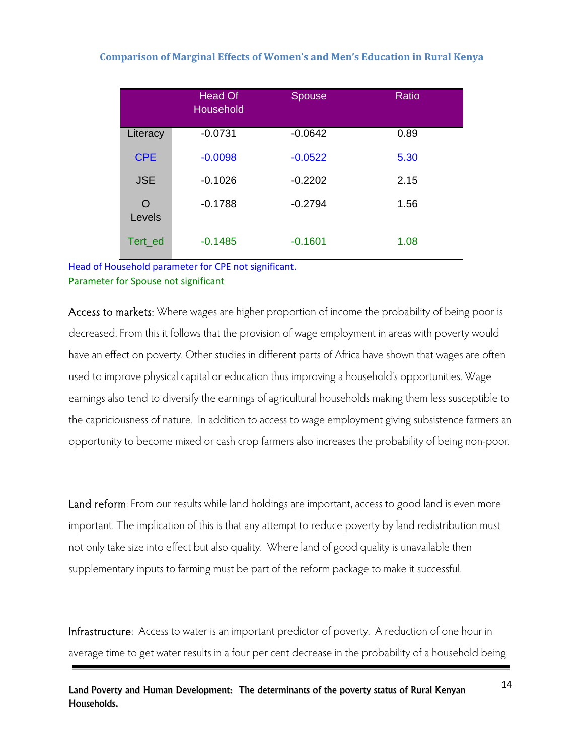#### **Comparison of Marginal Effects of Women's and Men's Education in Rural Kenya**

|                    | <b>Head Of</b><br>Household | <b>Spouse</b> | Ratio |
|--------------------|-----------------------------|---------------|-------|
| Literacy           | $-0.0731$                   | $-0.0642$     | 0.89  |
| <b>CPE</b>         | $-0.0098$                   | $-0.0522$     | 5.30  |
| <b>JSE</b>         | $-0.1026$                   | $-0.2202$     | 2.15  |
| $\Omega$<br>Levels | $-0.1788$                   | $-0.2794$     | 1.56  |
| Tert ed            | $-0.1485$                   | $-0.1601$     | 1.08  |

#### Head of Household parameter for CPE not significant. Parameter for Spouse not significant

Access to markets: Where wages are higher proportion of income the probability of being poor is decreased. From this it follows that the provision of wage employment in areas with poverty would have an effect on poverty. Other studies in different parts of Africa have shown that wages are often used to improve physical capital or education thus improving a household's opportunities. Wage earnings also tend to diversify the earnings of agricultural households making them less susceptible to the capriciousness of nature. In addition to access to wage employment giving subsistence farmers an opportunity to become mixed or cash crop farmers also increases the probability of being non-poor.

Land reform: From our results while land holdings are important, access to good land is even more important. The implication of this is that any attempt to reduce poverty by land redistribution must not only take size into effect but also quality. Where land of good quality is unavailable then supplementary inputs to farming must be part of the reform package to make it successful.

Infrastructure: Access to water is an important predictor of poverty. A reduction of one hour in average time to get water results in a four per cent decrease in the probability of a household being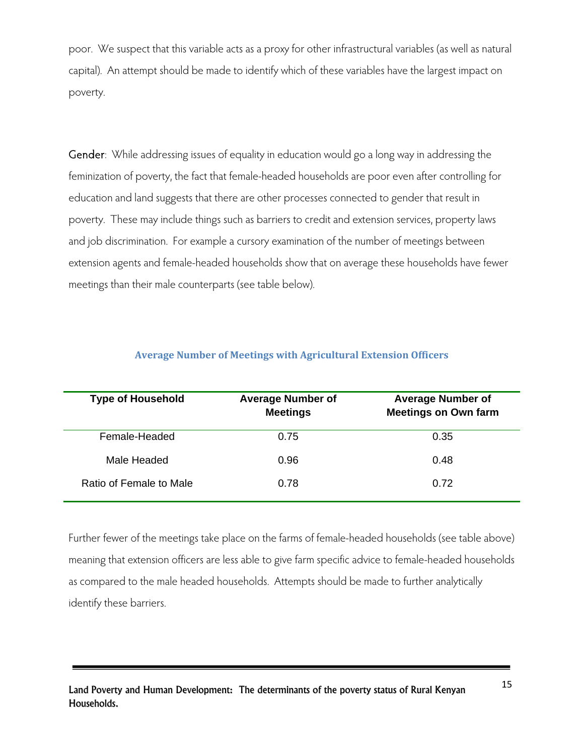poor. We suspect that this variable acts as a proxy for other infrastructural variables (as well as natural capital). An attempt should be made to identify which of these variables have the largest impact on poverty.

Gender: While addressing issues of equality in education would go a long way in addressing the feminization of poverty, the fact that female-headed households are poor even after controlling for education and land suggests that there are other processes connected to gender that result in poverty. These may include things such as barriers to credit and extension services, property laws and job discrimination. For example a cursory examination of the number of meetings between extension agents and female-headed households show that on average these households have fewer meetings than their male counterparts (see table below).

| <b>Type of Household</b> | <b>Average Number of</b><br><b>Meetings</b> | <b>Average Number of</b><br><b>Meetings on Own farm</b> |
|--------------------------|---------------------------------------------|---------------------------------------------------------|
| Female-Headed            | 0.75                                        | 0.35                                                    |
| Male Headed              | 0.96                                        | 0.48                                                    |
| Ratio of Female to Male  | 0.78                                        | 0.72                                                    |

#### **Average Number of Meetings with Agricultural Extension Officers**

Further fewer of the meetings take place on the farms of female-headed households (see table above) meaning that extension officers are less able to give farm specific advice to female-headed households as compared to the male headed households. Attempts should be made to further analytically identify these barriers.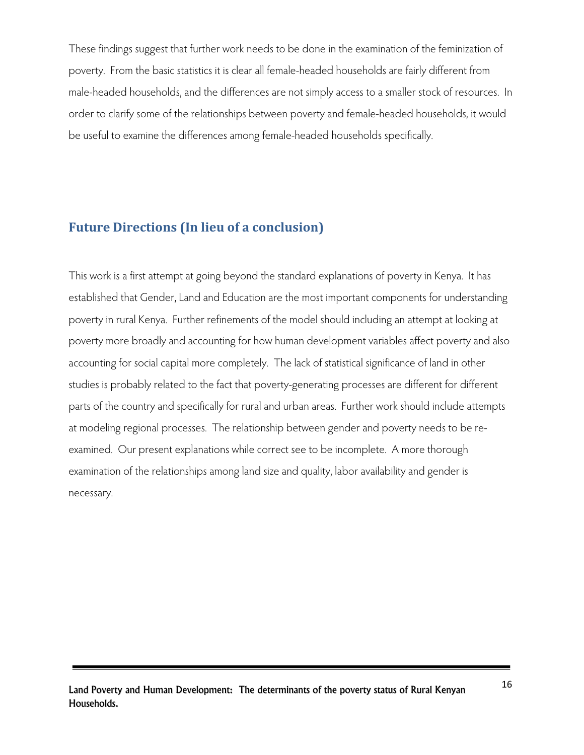These findings suggest that further work needs to be done in the examination of the feminization of poverty. From the basic statistics it is clear all female-headed households are fairly different from male-headed households, and the differences are not simply access to a smaller stock of resources. In order to clarify some of the relationships between poverty and female-headed households, it would be useful to examine the differences among female-headed households specifically.

## **Future Directions (In lieu of a conclusion)**

This work is a first attempt at going beyond the standard explanations of poverty in Kenya. It has established that Gender, Land and Education are the most important components for understanding poverty in rural Kenya. Further refinements of the model should including an attempt at looking at poverty more broadly and accounting for how human development variables affect poverty and also accounting for social capital more completely. The lack of statistical significance of land in other studies is probably related to the fact that poverty-generating processes are different for different parts of the country and specifically for rural and urban areas. Further work should include attempts at modeling regional processes. The relationship between gender and poverty needs to be reexamined. Our present explanations while correct see to be incomplete. A more thorough examination of the relationships among land size and quality, labor availability and gender is necessary.

Land Poverty and Human Development: The determinants of the poverty status of Rural Kenyan Households.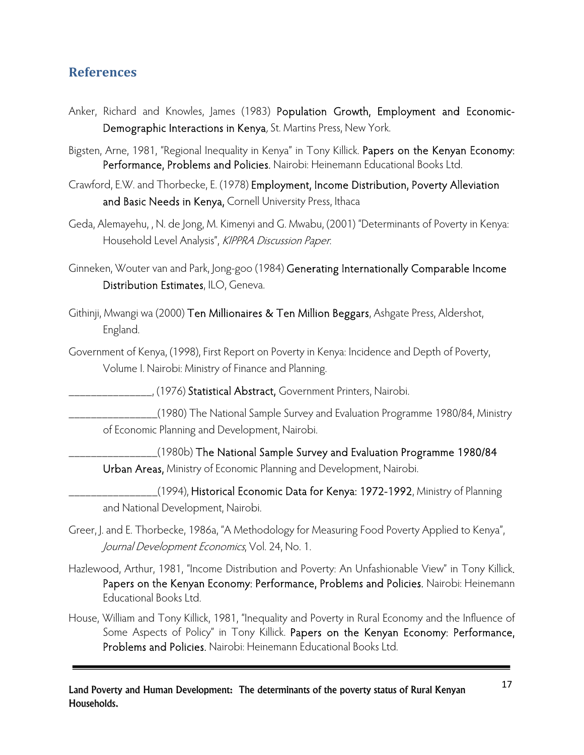# **References**

- Anker, Richard and Knowles, James (1983) Population Growth, Employment and Economic-Demographic Interactions in Kenya, St. Martins Press, New York.
- Bigsten, Arne, 1981, "Regional Inequality in Kenya" in Tony Killick. Papers on the Kenyan Economy: Performance, Problems and Policies. Nairobi: Heinemann Educational Books Ltd.
- Crawford, E.W. and Thorbecke, E. (1978) Employment, Income Distribution, Poverty Alleviation and Basic Needs in Kenya, Cornell University Press, Ithaca
- Geda, Alemayehu, , N. de Jong, M. Kimenyi and G. Mwabu, (2001) "Determinants of Poverty in Kenya: Household Level Analysis", KIPPRA Discussion Paper.
- Ginneken, Wouter van and Park, Jong-goo (1984) Generating Internationally Comparable Income Distribution Estimates, ILO, Geneva.
- Githinji, Mwangi wa (2000) Ten Millionaires & Ten Million Beggars, Ashgate Press, Aldershot, England.
- Government of Kenya, (1998), First Report on Poverty in Kenya: Incidence and Depth of Poverty, Volume I. Nairobi: Ministry of Finance and Planning.

<u>\_\_\_\_\_\_\_\_\_\_\_</u>, (1976) Statistical Abstract, Government Printers, Nairobi.

\_\_\_\_\_\_\_\_\_\_\_\_\_\_\_\_(1980) The National Sample Survey and Evaluation Programme 1980/84, Ministry of Economic Planning and Development, Nairobi.

\_\_\_\_\_\_\_\_\_\_\_\_\_\_\_\_(1980b) The National Sample Survey and Evaluation Programme 1980/84 Urban Areas, Ministry of Economic Planning and Development, Nairobi.

\_\_\_\_\_\_\_\_\_\_\_\_\_\_\_\_(1994), Historical Economic Data for Kenya: 1972-1992, Ministry of Planning and National Development, Nairobi.

- Greer, J. and E. Thorbecke, 1986a, "A Methodology for Measuring Food Poverty Applied to Kenya", Journal Development Economics, Vol. 24, No. 1.
- Hazlewood, Arthur, 1981, "Income Distribution and Poverty: An Unfashionable View" in Tony Killick. Papers on the Kenyan Economy: Performance, Problems and Policies. Nairobi: Heinemann Educational Books Ltd.
- House, William and Tony Killick, 1981, "Inequality and Poverty in Rural Economy and the Influence of Some Aspects of Policy" in Tony Killick. Papers on the Kenyan Economy: Performance, Problems and Policies. Nairobi: Heinemann Educational Books Ltd.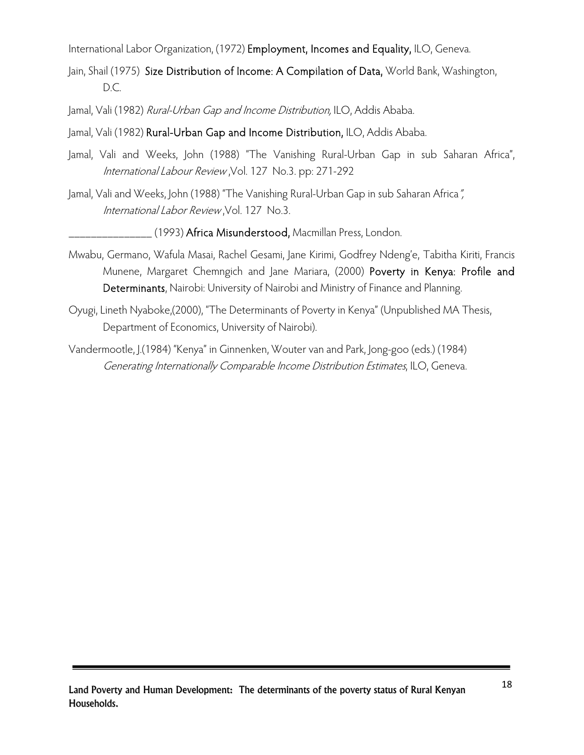International Labor Organization, (1972) Employment, Incomes and Equality, ILO, Geneva.

- Jain, Shail (1975) Size Distribution of Income: A Compilation of Data, World Bank, Washington, D.C.
- Jamal, Vali (1982) Rural-Urban Gap and Income Distribution, ILO, Addis Ababa.
- Jamal, Vali (1982) Rural-Urban Gap and Income Distribution, ILO, Addis Ababa.
- Jamal, Vali and Weeks, John (1988) "The Vanishing Rural-Urban Gap in sub Saharan Africa", International Labour Review ,Vol. 127 No.3. pp: 271-292
- Jamal, Vali and Weeks, John (1988) "The Vanishing Rural-Urban Gap in sub Saharan Africa", International Labor Review , Vol. 127 No.3.

\_(1993) Africa Misunderstood, Macmillan Press, London.

- Mwabu, Germano, Wafula Masai, Rachel Gesami, Jane Kirimi, Godfrey Ndeng'e, Tabitha Kiriti, Francis Munene, Margaret Chemngich and Jane Mariara, (2000) Poverty in Kenya: Profile and Determinants, Nairobi: University of Nairobi and Ministry of Finance and Planning.
- Oyugi, Lineth Nyaboke,(2000), "The Determinants of Poverty in Kenya" (Unpublished MA Thesis, Department of Economics, University of Nairobi).
- Vandermootle, J.(1984) "Kenya" in Ginnenken, Wouter van and Park, Jong-goo (eds.) (1984) Generating Internationally Comparable Income Distribution Estimates, ILO, Geneva.

Land Poverty and Human Development: The determinants of the poverty status of Rural Kenyan Households.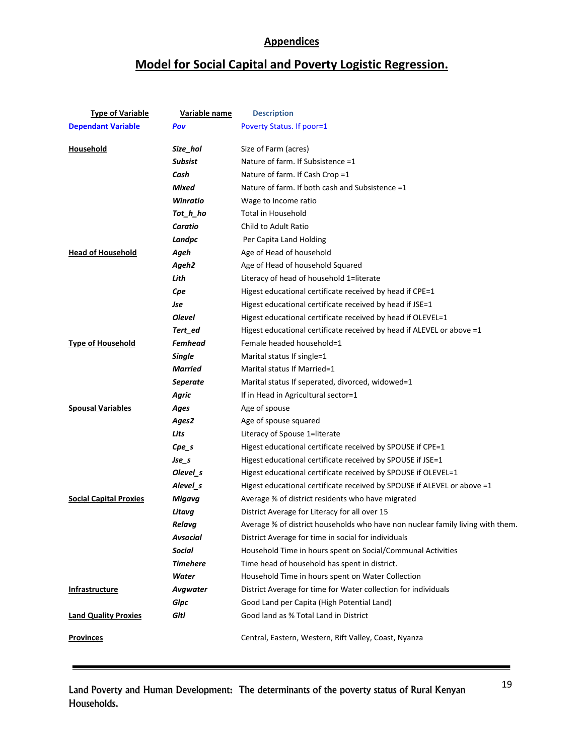## **Appendices**

# **Model for Social Capital and Poverty Logistic Regression.**

| <b>Type of Variable</b>       | Variable name      | <b>Description</b>                                                             |
|-------------------------------|--------------------|--------------------------------------------------------------------------------|
| <b>Dependant Variable</b>     | Pov                | Poverty Status. If poor=1                                                      |
| <b>Household</b>              | Size_hol           | Size of Farm (acres)                                                           |
|                               | <b>Subsist</b>     | Nature of farm. If Subsistence =1                                              |
|                               | Cash               | Nature of farm. If Cash Crop =1                                                |
|                               | Mixed              | Nature of farm. If both cash and Subsistence =1                                |
|                               | Winratio           | Wage to Income ratio                                                           |
|                               | Tot_h_ho           | <b>Total in Household</b>                                                      |
|                               | Caratio            | Child to Adult Ratio                                                           |
|                               | Landpc             | Per Capita Land Holding                                                        |
| <b>Head of Household</b>      | Ageh               | Age of Head of household                                                       |
|                               | Ageh2              | Age of Head of household Squared                                               |
|                               | Lith               | Literacy of head of household 1=literate                                       |
|                               | Cpe                | Higest educational certificate received by head if CPE=1                       |
|                               | Jse                | Higest educational certificate received by head if JSE=1                       |
|                               | <b>Olevel</b>      | Higest educational certificate received by head if OLEVEL=1                    |
|                               | Tert_ed            | Higest educational certificate received by head if ALEVEL or above =1          |
| <b>Type of Household</b>      | Femhead            | Female headed household=1                                                      |
|                               | <b>Single</b>      | Marital status If single=1                                                     |
|                               | <b>Married</b>     | Marital status If Married=1                                                    |
|                               | <b>Seperate</b>    | Marital status If seperated, divorced, widowed=1                               |
|                               | Agric              | If in Head in Agricultural sector=1                                            |
| <b>Spousal Variables</b>      | Ages               | Age of spouse                                                                  |
|                               | Ages2              | Age of spouse squared                                                          |
|                               | Lits               | Literacy of Spouse 1=literate                                                  |
|                               | $Cpe$ <sub>s</sub> | Higest educational certificate received by SPOUSE if CPE=1                     |
|                               | Jse_s              | Higest educational certificate received by SPOUSE if JSE=1                     |
|                               | Olevel_s           | Higest educational certificate received by SPOUSE if OLEVEL=1                  |
|                               | Alevel_s           | Higest educational certificate received by SPOUSE if ALEVEL or above = 1       |
| <b>Social Capital Proxies</b> | Migavg             | Average % of district residents who have migrated                              |
|                               | Litavg             | District Average for Literacy for all over 15                                  |
|                               | Relavg             | Average % of district households who have non nuclear family living with them. |
|                               | <b>Avsocial</b>    | District Average for time in social for individuals                            |
|                               | Social             | Household Time in hours spent on Social/Communal Activities                    |
|                               | <b>Timehere</b>    | Time head of household has spent in district.                                  |
|                               | Water              | Household Time in hours spent on Water Collection                              |
| <b>Infrastructure</b>         | Avgwater           | District Average for time for Water collection for individuals                 |
|                               | Glpc               | Good Land per Capita (High Potential Land)                                     |
| <b>Land Quality Proxies</b>   | Gltl               | Good land as % Total Land in District                                          |
| <b>Provinces</b>              |                    | Central, Eastern, Western, Rift Valley, Coast, Nyanza                          |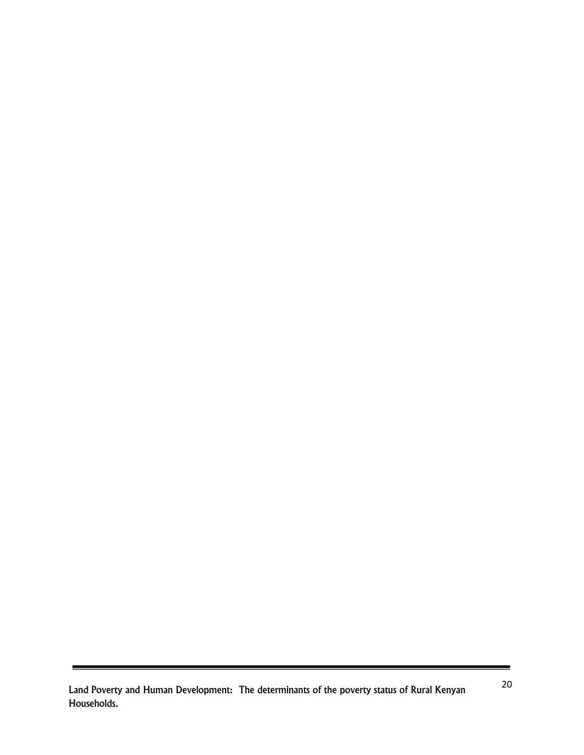Land Poverty and Human Development: The determinants of the poverty status of Rural Kenyan Households.